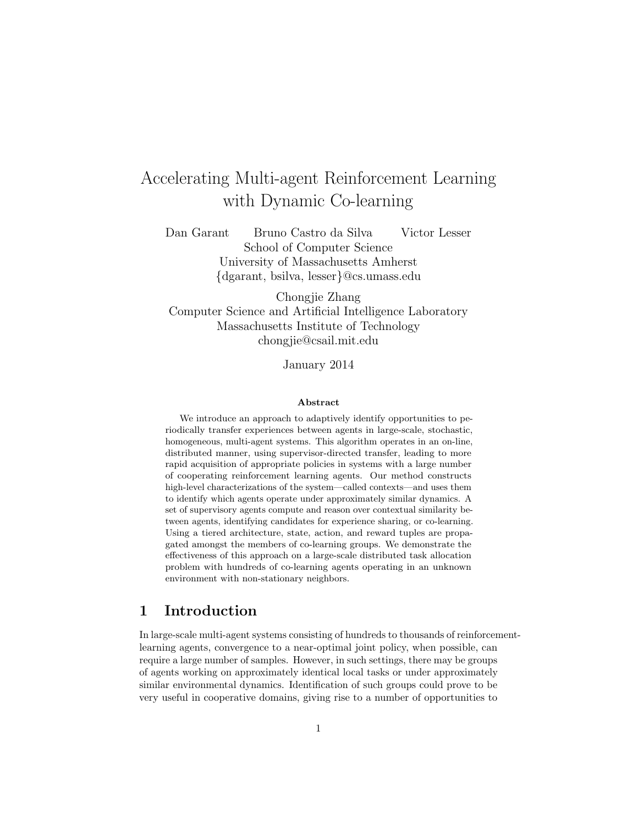# Accelerating Multi-agent Reinforcement Learning with Dynamic Co-learning

Dan Garant Bruno Castro da Silva Victor Lesser School of Computer Science University of Massachusetts Amherst {dgarant, bsilva, lesser}@cs.umass.edu

Chongjie Zhang Computer Science and Artificial Intelligence Laboratory Massachusetts Institute of Technology chongjie@csail.mit.edu

January 2014

#### Abstract

We introduce an approach to adaptively identify opportunities to periodically transfer experiences between agents in large-scale, stochastic, homogeneous, multi-agent systems. This algorithm operates in an on-line, distributed manner, using supervisor-directed transfer, leading to more rapid acquisition of appropriate policies in systems with a large number of cooperating reinforcement learning agents. Our method constructs high-level characterizations of the system—called contexts—and uses them to identify which agents operate under approximately similar dynamics. A set of supervisory agents compute and reason over contextual similarity between agents, identifying candidates for experience sharing, or co-learning. Using a tiered architecture, state, action, and reward tuples are propagated amongst the members of co-learning groups. We demonstrate the effectiveness of this approach on a large-scale distributed task allocation problem with hundreds of co-learning agents operating in an unknown environment with non-stationary neighbors.

### 1 Introduction

In large-scale multi-agent systems consisting of hundreds to thousands of reinforcementlearning agents, convergence to a near-optimal joint policy, when possible, can require a large number of samples. However, in such settings, there may be groups of agents working on approximately identical local tasks or under approximately similar environmental dynamics. Identification of such groups could prove to be very useful in cooperative domains, giving rise to a number of opportunities to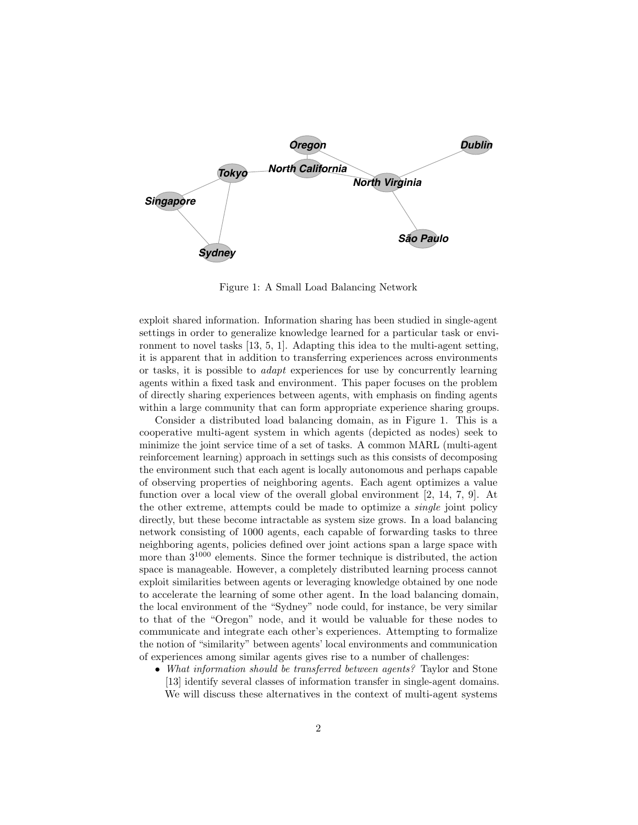

Figure 1: A Small Load Balancing Network

exploit shared information. Information sharing has been studied in single-agent settings in order to generalize knowledge learned for a particular task or environment to novel tasks [13, 5, 1]. Adapting this idea to the multi-agent setting, it is apparent that in addition to transferring experiences across environments or tasks, it is possible to adapt experiences for use by concurrently learning agents within a fixed task and environment. This paper focuses on the problem of directly sharing experiences between agents, with emphasis on finding agents within a large community that can form appropriate experience sharing groups.

Consider a distributed load balancing domain, as in Figure 1. This is a cooperative multi-agent system in which agents (depicted as nodes) seek to minimize the joint service time of a set of tasks. A common MARL (multi-agent reinforcement learning) approach in settings such as this consists of decomposing the environment such that each agent is locally autonomous and perhaps capable of observing properties of neighboring agents. Each agent optimizes a value function over a local view of the overall global environment [2, 14, 7, 9]. At the other extreme, attempts could be made to optimize a single joint policy directly, but these become intractable as system size grows. In a load balancing network consisting of 1000 agents, each capable of forwarding tasks to three neighboring agents, policies defined over joint actions span a large space with more than 3<sup>1000</sup> elements. Since the former technique is distributed, the action space is manageable. However, a completely distributed learning process cannot exploit similarities between agents or leveraging knowledge obtained by one node to accelerate the learning of some other agent. In the load balancing domain, the local environment of the "Sydney" node could, for instance, be very similar to that of the "Oregon" node, and it would be valuable for these nodes to communicate and integrate each other's experiences. Attempting to formalize the notion of "similarity" between agents' local environments and communication of experiences among similar agents gives rise to a number of challenges:

• What information should be transferred between agents? Taylor and Stone [13] identify several classes of information transfer in single-agent domains. We will discuss these alternatives in the context of multi-agent systems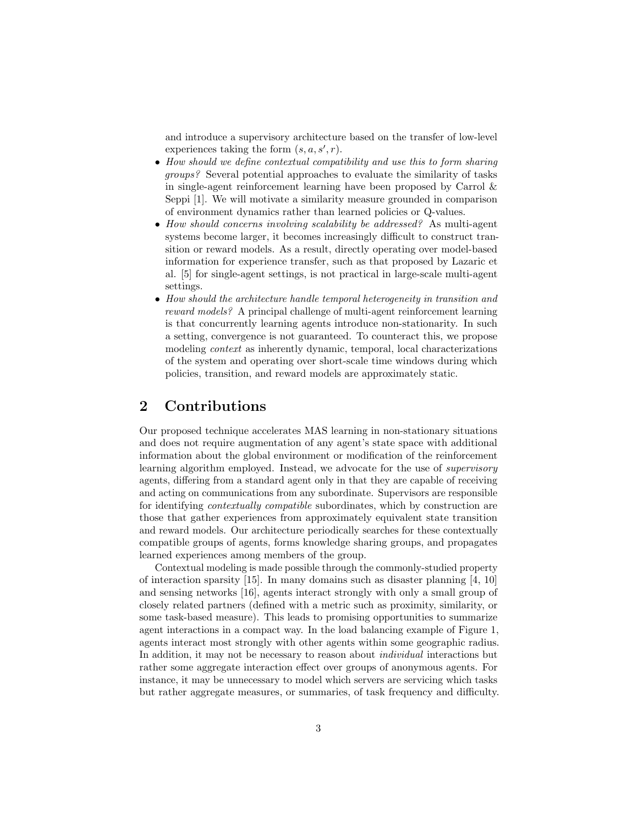and introduce a supervisory architecture based on the transfer of low-level experiences taking the form  $(s, a, s', r)$ .

- How should we define contextual compatibility and use this to form sharing groups? Several potential approaches to evaluate the similarity of tasks in single-agent reinforcement learning have been proposed by Carrol  $\&$ Seppi [1]. We will motivate a similarity measure grounded in comparison of environment dynamics rather than learned policies or Q-values.
- How should concerns involving scalability be addressed? As multi-agent systems become larger, it becomes increasingly difficult to construct transition or reward models. As a result, directly operating over model-based information for experience transfer, such as that proposed by Lazaric et al. [5] for single-agent settings, is not practical in large-scale multi-agent settings.
- How should the architecture handle temporal heterogeneity in transition and reward models? A principal challenge of multi-agent reinforcement learning is that concurrently learning agents introduce non-stationarity. In such a setting, convergence is not guaranteed. To counteract this, we propose modeling *context* as inherently dynamic, temporal, local characterizations of the system and operating over short-scale time windows during which policies, transition, and reward models are approximately static.

### 2 Contributions

Our proposed technique accelerates MAS learning in non-stationary situations and does not require augmentation of any agent's state space with additional information about the global environment or modification of the reinforcement learning algorithm employed. Instead, we advocate for the use of *supervisory* agents, differing from a standard agent only in that they are capable of receiving and acting on communications from any subordinate. Supervisors are responsible for identifying contextually compatible subordinates, which by construction are those that gather experiences from approximately equivalent state transition and reward models. Our architecture periodically searches for these contextually compatible groups of agents, forms knowledge sharing groups, and propagates learned experiences among members of the group.

Contextual modeling is made possible through the commonly-studied property of interaction sparsity [15]. In many domains such as disaster planning [4, 10] and sensing networks [16], agents interact strongly with only a small group of closely related partners (defined with a metric such as proximity, similarity, or some task-based measure). This leads to promising opportunities to summarize agent interactions in a compact way. In the load balancing example of Figure 1, agents interact most strongly with other agents within some geographic radius. In addition, it may not be necessary to reason about *individual* interactions but rather some aggregate interaction effect over groups of anonymous agents. For instance, it may be unnecessary to model which servers are servicing which tasks but rather aggregate measures, or summaries, of task frequency and difficulty.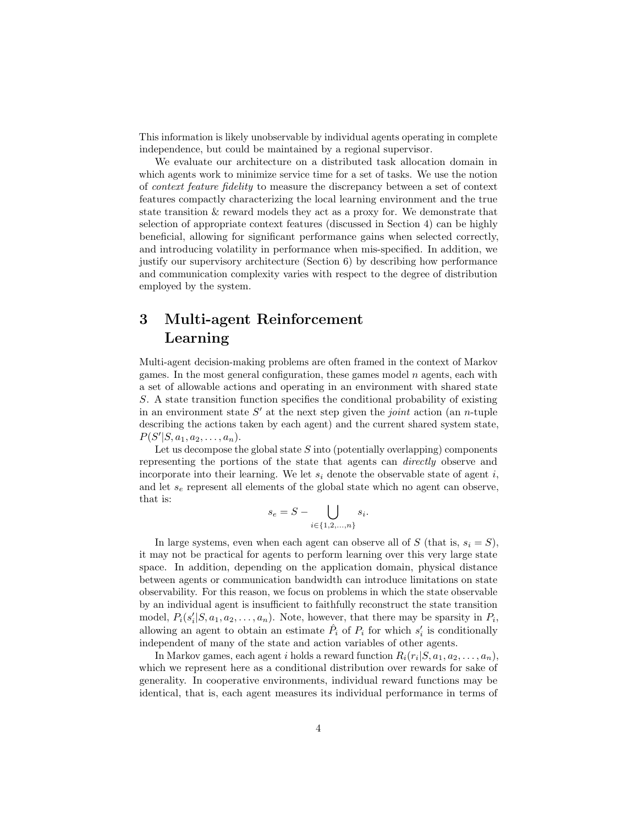This information is likely unobservable by individual agents operating in complete independence, but could be maintained by a regional supervisor.

We evaluate our architecture on a distributed task allocation domain in which agents work to minimize service time for a set of tasks. We use the notion of context feature fidelity to measure the discrepancy between a set of context features compactly characterizing the local learning environment and the true state transition & reward models they act as a proxy for. We demonstrate that selection of appropriate context features (discussed in Section 4) can be highly beneficial, allowing for significant performance gains when selected correctly, and introducing volatility in performance when mis-specified. In addition, we justify our supervisory architecture (Section 6) by describing how performance and communication complexity varies with respect to the degree of distribution employed by the system.

## 3 Multi-agent Reinforcement Learning

Multi-agent decision-making problems are often framed in the context of Markov games. In the most general configuration, these games model  $n$  agents, each with a set of allowable actions and operating in an environment with shared state S. A state transition function specifies the conditional probability of existing in an environment state  $S'$  at the next step given the *joint* action (an *n*-tuple describing the actions taken by each agent) and the current shared system state,  $P(S'|S, a_1, a_2, \ldots, a_n).$ 

Let us decompose the global state  $S$  into (potentially overlapping) components representing the portions of the state that agents can directly observe and incorporate into their learning. We let  $s_i$  denote the observable state of agent i, and let  $s_e$  represent all elements of the global state which no agent can observe, that is:

$$
s_e = S - \bigcup_{i \in \{1, 2, \dots, n\}} s_i.
$$

In large systems, even when each agent can observe all of S (that is,  $s_i = S$ ), it may not be practical for agents to perform learning over this very large state space. In addition, depending on the application domain, physical distance between agents or communication bandwidth can introduce limitations on state observability. For this reason, we focus on problems in which the state observable by an individual agent is insufficient to faithfully reconstruct the state transition model,  $P_i(s_i'|S, a_1, a_2, \ldots, a_n)$ . Note, however, that there may be sparsity in  $P_i$ , allowing an agent to obtain an estimate  $\hat{P}_i$  of  $P_i$  for which  $s'_i$  is conditionally independent of many of the state and action variables of other agents.

In Markov games, each agent *i* holds a reward function  $R_i(r_i|S, a_1, a_2, \ldots, a_n)$ , which we represent here as a conditional distribution over rewards for sake of generality. In cooperative environments, individual reward functions may be identical, that is, each agent measures its individual performance in terms of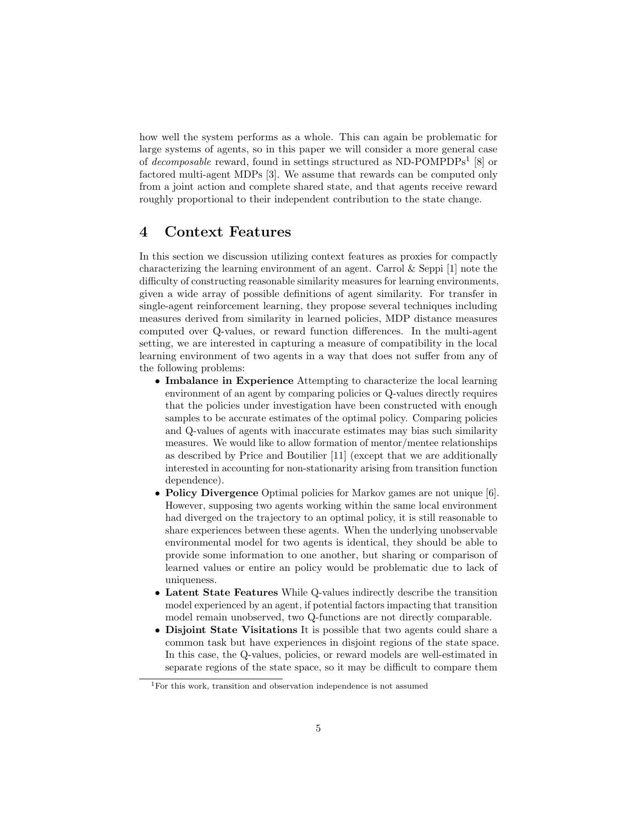how well the system performs as a whole. This can again be problematic for large systems of agents, so in this paper we will consider a more general case of *decomposable* reward, found in settings structured as  $ND-POMPDPs<sup>1</sup>$  [8] or factored multi-agent MDPs [3]. We assume that rewards can be computed only from a joint action and complete shared state, and that agents receive reward roughly proportional to their independent contribution to the state change.

#### 4 Context Features

In this section we discussion utilizing context features as proxies for compactly characterizing the learning environment of an agent. Carrol & Seppi [1] note the difficulty of constructing reasonable similarity measures for learning environments, given a wide array of possible definitions of agent similarity. For transfer in single-agent reinforcement learning, they propose several techniques including measures derived from similarity in learned policies, MDP distance measures computed over Q-values, or reward function differences. In the multi-agent setting, we are interested in capturing a measure of compatibility in the local learning environment of two agents in a way that does not suffer from any of the following problems:

- Imbalance in Experience Attempting to characterize the local learning environment of an agent by comparing policies or Q-values directly requires that the policies under investigation have been constructed with enough samples to be accurate estimates of the optimal policy. Comparing policies and Q-values of agents with inaccurate estimates may bias such similarity measures. We would like to allow formation of mentor/mentee relationships as described by Price and Boutilier [11] (except that we are additionally interested in accounting for non-stationarity arising from transition function dependence).
- Policy Divergence Optimal policies for Markov games are not unique [6]. However, supposing two agents working within the same local environment had diverged on the trajectory to an optimal policy, it is still reasonable to share experiences between these agents. When the underlying unobservable environmental model for two agents is identical, they should be able to provide some information to one another, but sharing or comparison of learned values or entire an policy would be problematic due to lack of uniqueness.
- Latent State Features While Q-values indirectly describe the transition model experienced by an agent, if potential factors impacting that transition model remain unobserved, two Q-functions are not directly comparable.
- Disjoint State Visitations It is possible that two agents could share a common task but have experiences in disjoint regions of the state space. In this case, the Q-values, policies, or reward models are well-estimated in separate regions of the state space, so it may be difficult to compare them

<sup>1</sup>For this work, transition and observation independence is not assumed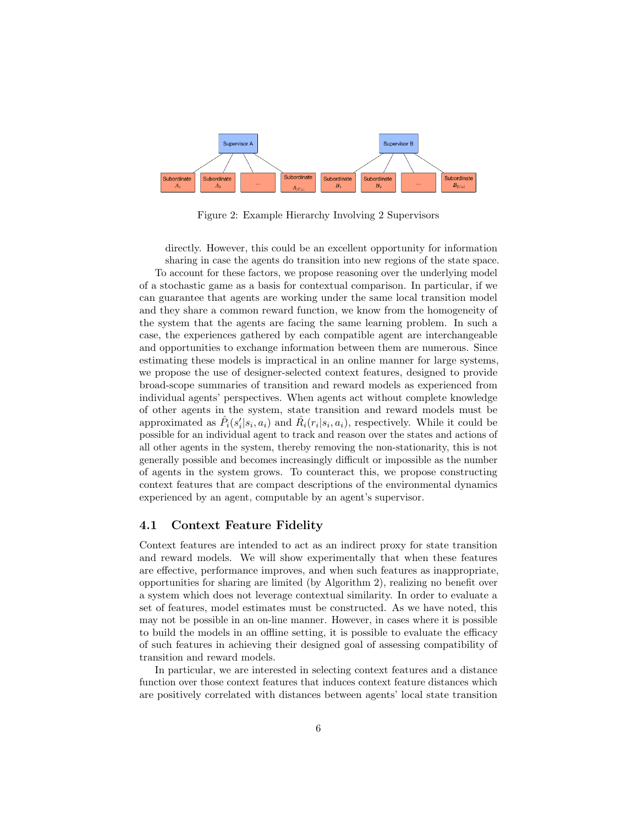

Figure 2: Example Hierarchy Involving 2 Supervisors

directly. However, this could be an excellent opportunity for information sharing in case the agents do transition into new regions of the state space.

To account for these factors, we propose reasoning over the underlying model of a stochastic game as a basis for contextual comparison. In particular, if we can guarantee that agents are working under the same local transition model and they share a common reward function, we know from the homogeneity of the system that the agents are facing the same learning problem. In such a case, the experiences gathered by each compatible agent are interchangeable and opportunities to exchange information between them are numerous. Since estimating these models is impractical in an online manner for large systems, we propose the use of designer-selected context features, designed to provide broad-scope summaries of transition and reward models as experienced from individual agents' perspectives. When agents act without complete knowledge of other agents in the system, state transition and reward models must be approximated as  $\hat{P}_i(s_i'|s_i, a_i)$  and  $\hat{R}_i(r_i|s_i, a_i)$ , respectively. While it could be possible for an individual agent to track and reason over the states and actions of all other agents in the system, thereby removing the non-stationarity, this is not generally possible and becomes increasingly difficult or impossible as the number of agents in the system grows. To counteract this, we propose constructing context features that are compact descriptions of the environmental dynamics experienced by an agent, computable by an agent's supervisor.

#### 4.1 Context Feature Fidelity

Context features are intended to act as an indirect proxy for state transition and reward models. We will show experimentally that when these features are effective, performance improves, and when such features as inappropriate, opportunities for sharing are limited (by Algorithm 2), realizing no benefit over a system which does not leverage contextual similarity. In order to evaluate a set of features, model estimates must be constructed. As we have noted, this may not be possible in an on-line manner. However, in cases where it is possible to build the models in an offline setting, it is possible to evaluate the efficacy of such features in achieving their designed goal of assessing compatibility of transition and reward models.

In particular, we are interested in selecting context features and a distance function over those context features that induces context feature distances which are positively correlated with distances between agents' local state transition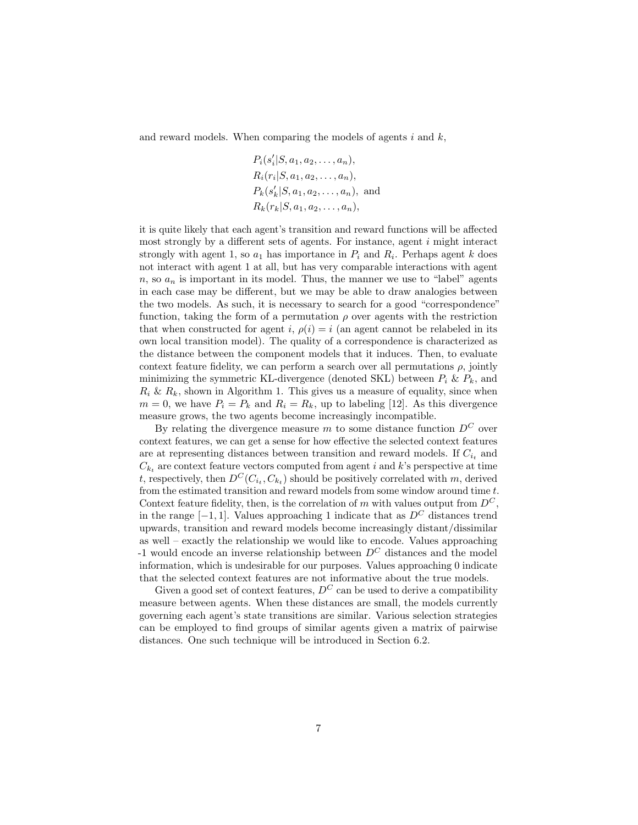and reward models. When comparing the models of agents  $i$  and  $k$ ,

$$
P_i(s'_i|S, a_1, a_2, \dots, a_n),
$$
  
\n
$$
R_i(r_i|S, a_1, a_2, \dots, a_n),
$$
  
\n
$$
P_k(s'_k|S, a_1, a_2, \dots, a_n),
$$
 and  
\n
$$
R_k(r_k|S, a_1, a_2, \dots, a_n),
$$

it is quite likely that each agent's transition and reward functions will be affected most strongly by a different sets of agents. For instance, agent  $i$  might interact strongly with agent 1, so  $a_1$  has importance in  $P_i$  and  $R_i$ . Perhaps agent k does not interact with agent 1 at all, but has very comparable interactions with agent  $n$ , so  $a_n$  is important in its model. Thus, the manner we use to "label" agents in each case may be different, but we may be able to draw analogies between the two models. As such, it is necessary to search for a good "correspondence" function, taking the form of a permutation  $\rho$  over agents with the restriction that when constructed for agent i,  $\rho(i) = i$  (an agent cannot be relabeled in its own local transition model). The quality of a correspondence is characterized as the distance between the component models that it induces. Then, to evaluate context feature fidelity, we can perform a search over all permutations  $\rho$ , jointly minimizing the symmetric KL-divergence (denoted SKL) between  $P_i \& P_k$ , and  $R_i \& R_k$ , shown in Algorithm 1. This gives us a measure of equality, since when  $m = 0$ , we have  $P_i = P_k$  and  $R_i = R_k$ , up to labeling [12]. As this divergence measure grows, the two agents become increasingly incompatible.

By relating the divergence measure m to some distance function  $D^C$  over context features, we can get a sense for how effective the selected context features are at representing distances between transition and reward models. If  $C_{i_t}$  and  $C_{k_t}$  are context feature vectors computed from agent i and k's perspective at time t, respectively, then  $D^{C}(C_{i_t}, C_{k_t})$  should be positively correlated with m, derived from the estimated transition and reward models from some window around time  $t$ . Context feature fidelity, then, is the correlation of m with values output from  $D^{C}$ , in the range  $[-1, 1]$ . Values approaching 1 indicate that as  $D^C$  distances trend upwards, transition and reward models become increasingly distant/dissimilar as well – exactly the relationship we would like to encode. Values approaching -1 would encode an inverse relationship between  $D^{C}$  distances and the model information, which is undesirable for our purposes. Values approaching 0 indicate that the selected context features are not informative about the true models.

Given a good set of context features,  $D^C$  can be used to derive a compatibility measure between agents. When these distances are small, the models currently governing each agent's state transitions are similar. Various selection strategies can be employed to find groups of similar agents given a matrix of pairwise distances. One such technique will be introduced in Section 6.2.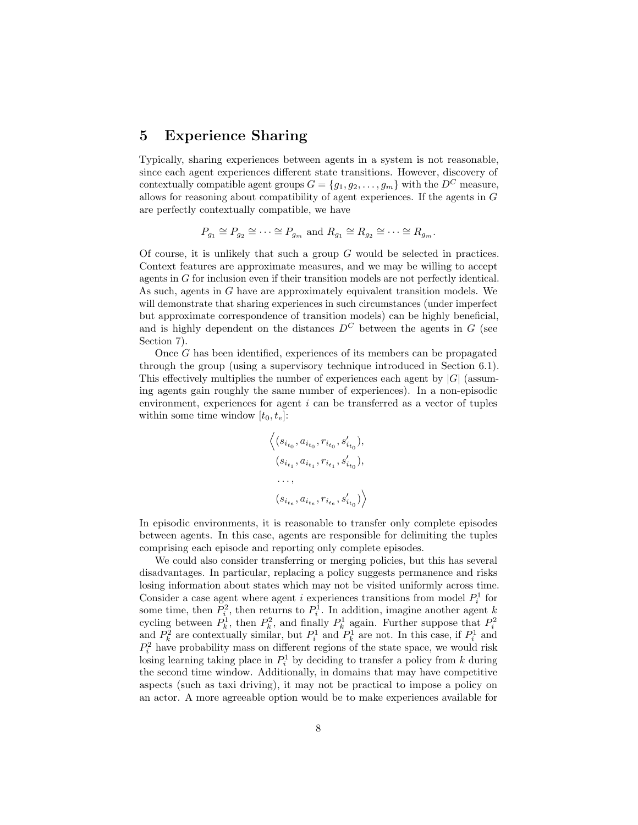### 5 Experience Sharing

Typically, sharing experiences between agents in a system is not reasonable, since each agent experiences different state transitions. However, discovery of contextually compatible agent groups  $G = \{g_1, g_2, \ldots, g_m\}$  with the  $D^C$  measure, allows for reasoning about compatibility of agent experiences. If the agents in G are perfectly contextually compatible, we have

$$
P_{g_1} \cong P_{g_2} \cong \cdots \cong P_{g_m}
$$
 and  $R_{g_1} \cong R_{g_2} \cong \cdots \cong R_{g_m}$ .

Of course, it is unlikely that such a group  $G$  would be selected in practices. Context features are approximate measures, and we may be willing to accept agents in G for inclusion even if their transition models are not perfectly identical. As such, agents in G have are approximately equivalent transition models. We will demonstrate that sharing experiences in such circumstances (under imperfect but approximate correspondence of transition models) can be highly beneficial, and is highly dependent on the distances  $D^C$  between the agents in G (see Section 7).

Once G has been identified, experiences of its members can be propagated through the group (using a supervisory technique introduced in Section 6.1). This effectively multiplies the number of experiences each agent by  $|G|$  (assuming agents gain roughly the same number of experiences). In a non-episodic environment, experiences for agent i can be transferred as a vector of tuples within some time window  $[t_0, t_e]$ :

$$
\left\langle (s_{i_{t_0}}, a_{i_{t_0}}, r_{i_{t_0}}, s'_{i_{t_0}}),
$$
  

$$
(s_{i_{t_1}}, a_{i_{t_1}}, r_{i_{t_1}}, s'_{i_{t_0}}),
$$
  

$$
\dots,
$$
  

$$
(s_{i_{t_e}}, a_{i_{t_e}}, r_{i_{t_e}}, s'_{i_{t_0}}) \right\rangle
$$

In episodic environments, it is reasonable to transfer only complete episodes between agents. In this case, agents are responsible for delimiting the tuples comprising each episode and reporting only complete episodes.

We could also consider transferring or merging policies, but this has several disadvantages. In particular, replacing a policy suggests permanence and risks losing information about states which may not be visited uniformly across time. Consider a case agent where agent  $i$  experiences transitions from model  $P_i^1$  for some time, then  $P_i^2$ , then returns to  $P_i^1$ . In addition, imagine another agent k cycling between  $P_k^1$ , then  $P_k^2$ , and finally  $P_k^1$  again. Further suppose that  $P_i^2$  and  $P_k^1$  are contextually similar, but  $P_i^1$  and  $P_k^1$  are not. In this case, if  $P_i^1$  and  $P_i^2$  have probability mass on different regions of the state space, we would risk losing learning taking place in  $P_i^1$  by deciding to transfer a policy from k during the second time window. Additionally, in domains that may have competitive aspects (such as taxi driving), it may not be practical to impose a policy on an actor. A more agreeable option would be to make experiences available for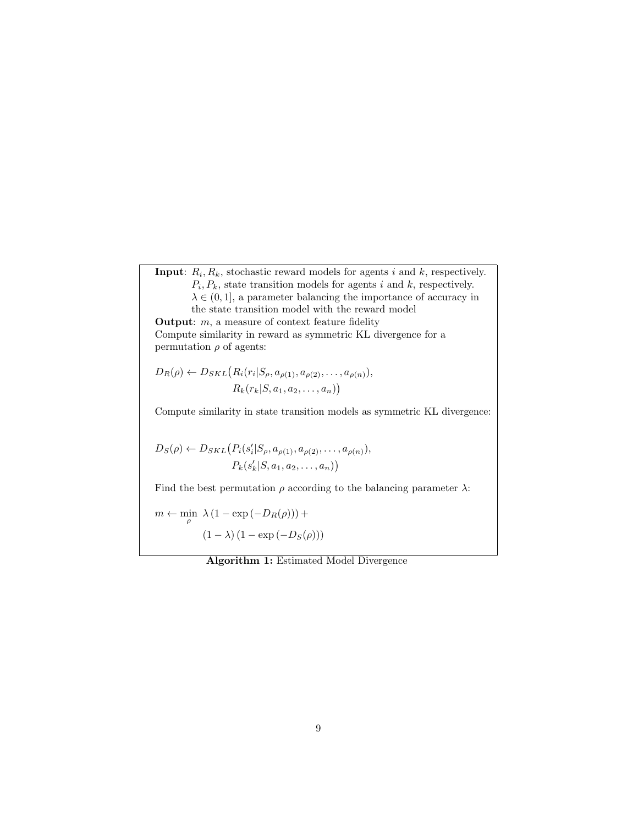**Input:**  $R_i, R_k$ , stochastic reward models for agents i and k, respectively.  $P_i, P_k$ , state transition models for agents i and k, respectively.  $\lambda \in (0, 1]$ , a parameter balancing the importance of accuracy in the state transition model with the reward model **Output:**  $m$ , a measure of context feature fidelity Compute similarity in reward as symmetric KL divergence for a permutation  $\rho$  of agents:

$$
D_R(\rho) \leftarrow D_{SKL}\big(R_i(r_i|S_\rho, a_{\rho(1)}, a_{\rho(2)}, \dots, a_{\rho(n)}),
$$

$$
R_k(r_k|S, a_1, a_2, \dots, a_n)\big)
$$

Compute similarity in state transition models as symmetric KL divergence:

$$
D_S(\rho) \leftarrow D_{SKL}(P_i(s_i'|S_{\rho}, a_{\rho(1)}, a_{\rho(2)}, \dots, a_{\rho(n)}),
$$
  
 
$$
P_k(s_k'|S, a_1, a_2, \dots, a_n))
$$

Find the best permutation  $\rho$  according to the balancing parameter  $\lambda$ :

$$
m \leftarrow \min_{\rho} \ \lambda \left( 1 - \exp \left( -D_R(\rho) \right) \right) + \\ \left( 1 - \lambda \right) \left( 1 - \exp \left( -D_S(\rho) \right) \right)
$$

Algorithm 1: Estimated Model Divergence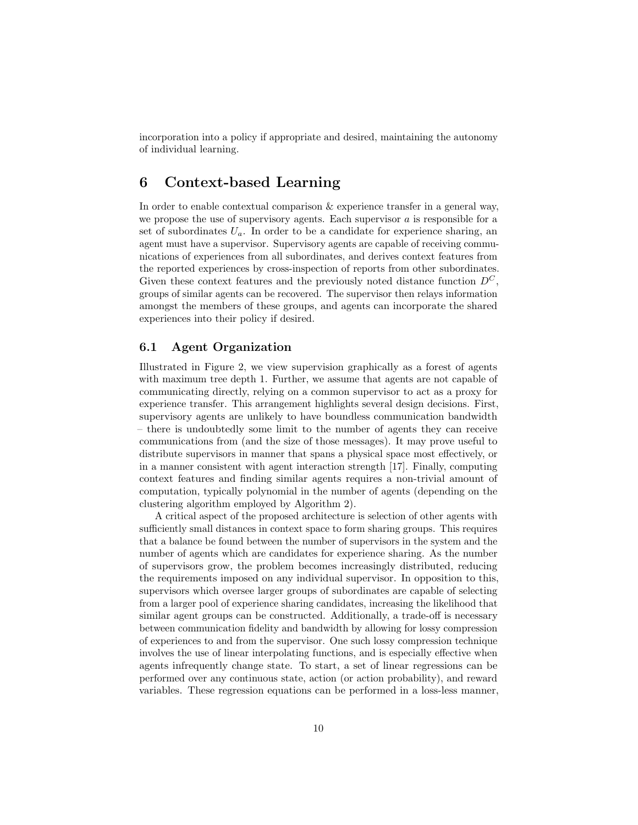incorporation into a policy if appropriate and desired, maintaining the autonomy of individual learning.

### 6 Context-based Learning

In order to enable contextual comparison & experience transfer in a general way, we propose the use of supervisory agents. Each supervisor  $a$  is responsible for a set of subordinates  $U_a$ . In order to be a candidate for experience sharing, an agent must have a supervisor. Supervisory agents are capable of receiving communications of experiences from all subordinates, and derives context features from the reported experiences by cross-inspection of reports from other subordinates. Given these context features and the previously noted distance function  $D^{C}$ , groups of similar agents can be recovered. The supervisor then relays information amongst the members of these groups, and agents can incorporate the shared experiences into their policy if desired.

#### 6.1 Agent Organization

Illustrated in Figure 2, we view supervision graphically as a forest of agents with maximum tree depth 1. Further, we assume that agents are not capable of communicating directly, relying on a common supervisor to act as a proxy for experience transfer. This arrangement highlights several design decisions. First, supervisory agents are unlikely to have boundless communication bandwidth – there is undoubtedly some limit to the number of agents they can receive communications from (and the size of those messages). It may prove useful to distribute supervisors in manner that spans a physical space most effectively, or in a manner consistent with agent interaction strength [17]. Finally, computing context features and finding similar agents requires a non-trivial amount of computation, typically polynomial in the number of agents (depending on the clustering algorithm employed by Algorithm 2).

A critical aspect of the proposed architecture is selection of other agents with sufficiently small distances in context space to form sharing groups. This requires that a balance be found between the number of supervisors in the system and the number of agents which are candidates for experience sharing. As the number of supervisors grow, the problem becomes increasingly distributed, reducing the requirements imposed on any individual supervisor. In opposition to this, supervisors which oversee larger groups of subordinates are capable of selecting from a larger pool of experience sharing candidates, increasing the likelihood that similar agent groups can be constructed. Additionally, a trade-off is necessary between communication fidelity and bandwidth by allowing for lossy compression of experiences to and from the supervisor. One such lossy compression technique involves the use of linear interpolating functions, and is especially effective when agents infrequently change state. To start, a set of linear regressions can be performed over any continuous state, action (or action probability), and reward variables. These regression equations can be performed in a loss-less manner,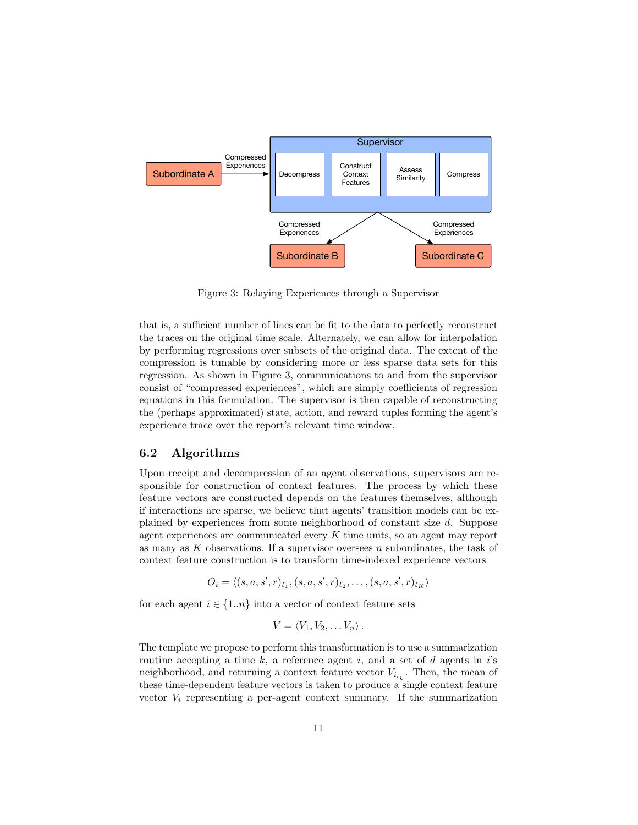

Figure 3: Relaying Experiences through a Supervisor

that is, a sufficient number of lines can be fit to the data to perfectly reconstruct the traces on the original time scale. Alternately, we can allow for interpolation by performing regressions over subsets of the original data. The extent of the compression is tunable by considering more or less sparse data sets for this regression. As shown in Figure 3, communications to and from the supervisor consist of "compressed experiences", which are simply coefficients of regression equations in this formulation. The supervisor is then capable of reconstructing the (perhaps approximated) state, action, and reward tuples forming the agent's experience trace over the report's relevant time window.

#### 6.2 Algorithms

Upon receipt and decompression of an agent observations, supervisors are responsible for construction of context features. The process by which these feature vectors are constructed depends on the features themselves, although if interactions are sparse, we believe that agents' transition models can be explained by experiences from some neighborhood of constant size d. Suppose agent experiences are communicated every  $K$  time units, so an agent may report as many as K observations. If a supervisor oversees  $n$  subordinates, the task of context feature construction is to transform time-indexed experience vectors

$$
O_i = \langle (s, a, s', r)_{t_1}, (s, a, s', r)_{t_2}, \dots, (s, a, s', r)_{t_K} \rangle
$$

for each agent  $i \in \{1..n\}$  into a vector of context feature sets

$$
V = \langle V_1, V_2, \ldots V_n \rangle.
$$

The template we propose to perform this transformation is to use a summarization routine accepting a time k, a reference agent i, and a set of d agents in  $i$ 's neighborhood, and returning a context feature vector  $V_{i_{t_k}}$ . Then, the mean of these time-dependent feature vectors is taken to produce a single context feature vector  $V_i$  representing a per-agent context summary. If the summarization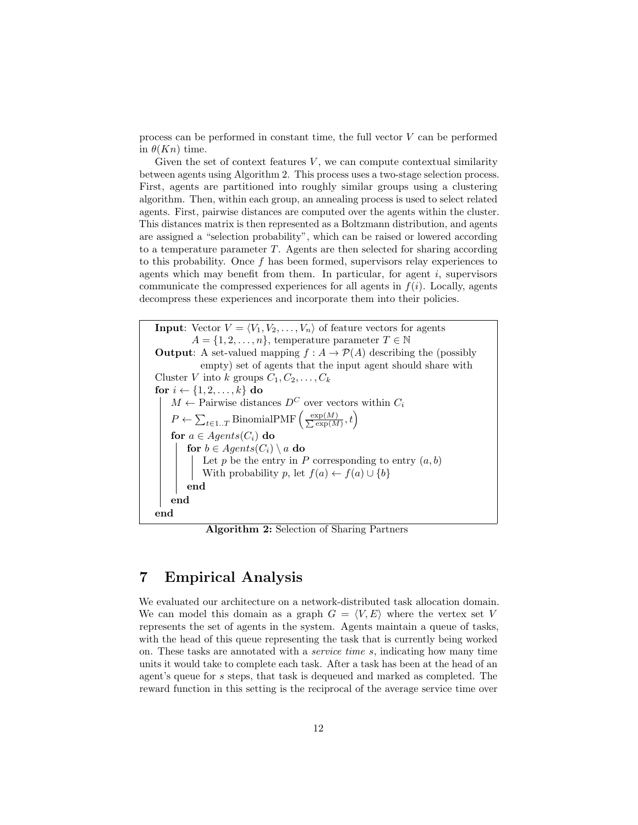process can be performed in constant time, the full vector V can be performed in  $\theta(Kn)$  time.

Given the set of context features  $V$ , we can compute contextual similarity between agents using Algorithm 2. This process uses a two-stage selection process. First, agents are partitioned into roughly similar groups using a clustering algorithm. Then, within each group, an annealing process is used to select related agents. First, pairwise distances are computed over the agents within the cluster. This distances matrix is then represented as a Boltzmann distribution, and agents are assigned a "selection probability", which can be raised or lowered according to a temperature parameter T. Agents are then selected for sharing according to this probability. Once  $f$  has been formed, supervisors relay experiences to agents which may benefit from them. In particular, for agent  $i$ , supervisors communicate the compressed experiences for all agents in  $f(i)$ . Locally, agents decompress these experiences and incorporate them into their policies.

**Input:** Vector  $V = \langle V_1, V_2, \ldots, V_n \rangle$  of feature vectors for agents  $A = \{1, 2, \ldots, n\}$ , temperature parameter  $T \in \mathbb{N}$ **Output:** A set-valued mapping  $f : A \to \mathcal{P}(A)$  describing the (possibly empty) set of agents that the input agent should share with Cluster V into k groups  $C_1, C_2, \ldots, C_k$ for  $i \leftarrow \{1, 2, \ldots, k\}$  do  $M \leftarrow$  Pairwise distances  $D^C$  over vectors within  $C_i$  $P \leftarrow \sum_{t \in 1..T} \text{BinomialPMF}\left(\frac{\exp(M)}{\sum \exp(M)}\right)$  $\frac{\exp(M)}{\exp(M)}, t$ for  $a \in Agents(C_i)$  do for  $b \in Agents(C_i) \setminus a$  do Let  $p$  be the entry in  $P$  corresponding to entry  $(a, b)$ With probability p, let  $f(a) \leftarrow f(a) \cup \{b\}$ end end end

Algorithm 2: Selection of Sharing Partners

### 7 Empirical Analysis

We evaluated our architecture on a network-distributed task allocation domain. We can model this domain as a graph  $G = \langle V, E \rangle$  where the vertex set V represents the set of agents in the system. Agents maintain a queue of tasks, with the head of this queue representing the task that is currently being worked on. These tasks are annotated with a service time s, indicating how many time units it would take to complete each task. After a task has been at the head of an agent's queue for s steps, that task is dequeued and marked as completed. The reward function in this setting is the reciprocal of the average service time over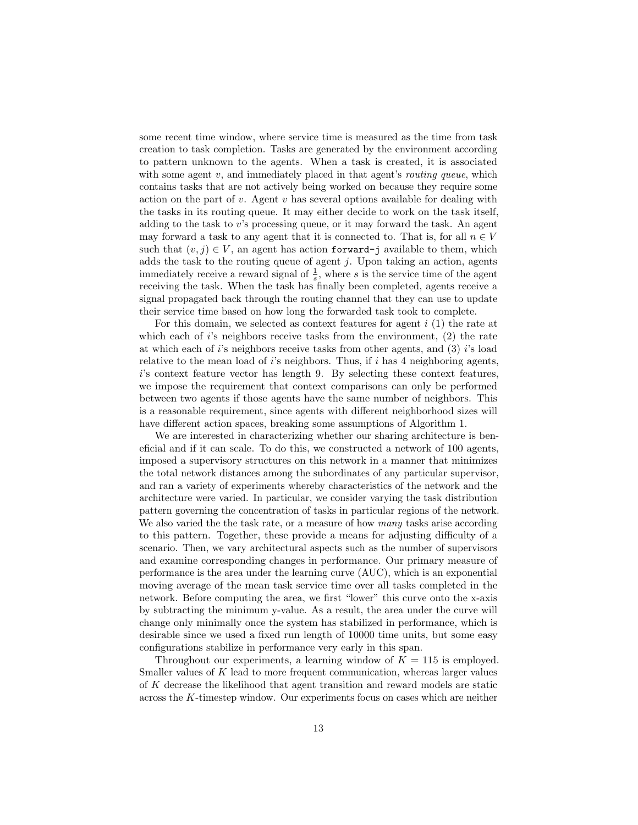some recent time window, where service time is measured as the time from task creation to task completion. Tasks are generated by the environment according to pattern unknown to the agents. When a task is created, it is associated with some agent  $v$ , and immediately placed in that agent's *routing queue*, which contains tasks that are not actively being worked on because they require some action on the part of  $v$ . Agent  $v$  has several options available for dealing with the tasks in its routing queue. It may either decide to work on the task itself, adding to the task to  $v$ 's processing queue, or it may forward the task. An agent may forward a task to any agent that it is connected to. That is, for all  $n \in V$ such that  $(v, j) \in V$ , an agent has action forward-j available to them, which adds the task to the routing queue of agent  $j$ . Upon taking an action, agents immediately receive a reward signal of  $\frac{1}{s}$ , where s is the service time of the agent receiving the task. When the task has finally been completed, agents receive a signal propagated back through the routing channel that they can use to update their service time based on how long the forwarded task took to complete.

For this domain, we selected as context features for agent  $i(1)$  the rate at which each of  $i$ 's neighbors receive tasks from the environment,  $(2)$  the rate at which each of i's neighbors receive tasks from other agents, and  $(3)$  i's load relative to the mean load of  $i$ 's neighbors. Thus, if  $i$  has 4 neighboring agents, i's context feature vector has length 9. By selecting these context features, we impose the requirement that context comparisons can only be performed between two agents if those agents have the same number of neighbors. This is a reasonable requirement, since agents with different neighborhood sizes will have different action spaces, breaking some assumptions of Algorithm 1.

We are interested in characterizing whether our sharing architecture is beneficial and if it can scale. To do this, we constructed a network of 100 agents, imposed a supervisory structures on this network in a manner that minimizes the total network distances among the subordinates of any particular supervisor, and ran a variety of experiments whereby characteristics of the network and the architecture were varied. In particular, we consider varying the task distribution pattern governing the concentration of tasks in particular regions of the network. We also varied the the task rate, or a measure of how many tasks arise according to this pattern. Together, these provide a means for adjusting difficulty of a scenario. Then, we vary architectural aspects such as the number of supervisors and examine corresponding changes in performance. Our primary measure of performance is the area under the learning curve (AUC), which is an exponential moving average of the mean task service time over all tasks completed in the network. Before computing the area, we first "lower" this curve onto the x-axis by subtracting the minimum y-value. As a result, the area under the curve will change only minimally once the system has stabilized in performance, which is desirable since we used a fixed run length of 10000 time units, but some easy configurations stabilize in performance very early in this span.

Throughout our experiments, a learning window of  $K = 115$  is employed. Smaller values of K lead to more frequent communication, whereas larger values of K decrease the likelihood that agent transition and reward models are static across the K-timestep window. Our experiments focus on cases which are neither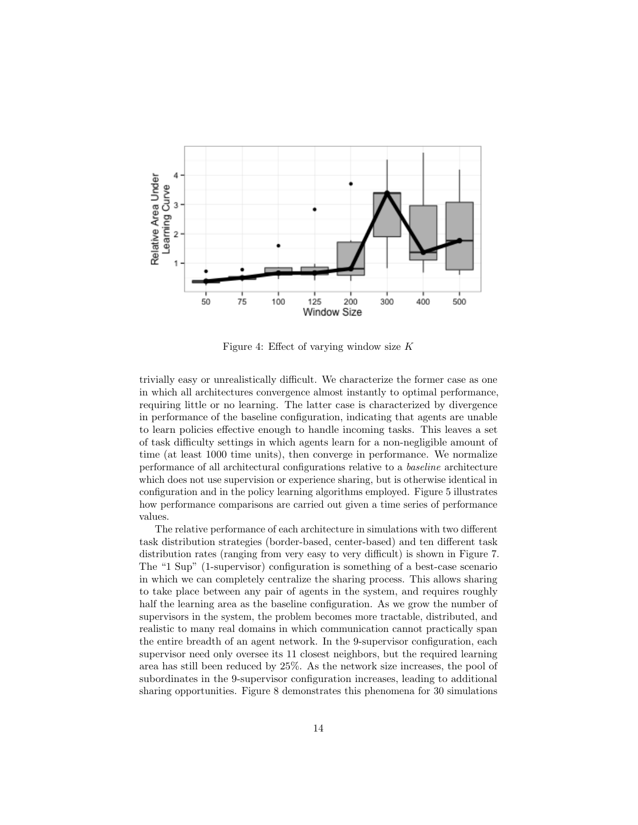

Figure 4: Effect of varying window size  $K$ 

trivially easy or unrealistically difficult. We characterize the former case as one in which all architectures convergence almost instantly to optimal performance, requiring little or no learning. The latter case is characterized by divergence in performance of the baseline configuration, indicating that agents are unable to learn policies effective enough to handle incoming tasks. This leaves a set of task difficulty settings in which agents learn for a non-negligible amount of time (at least 1000 time units), then converge in performance. We normalize performance of all architectural configurations relative to a baseline architecture which does not use supervision or experience sharing, but is otherwise identical in configuration and in the policy learning algorithms employed. Figure 5 illustrates how performance comparisons are carried out given a time series of performance values.

The relative performance of each architecture in simulations with two different task distribution strategies (border-based, center-based) and ten different task distribution rates (ranging from very easy to very difficult) is shown in Figure 7. The "1 Sup" (1-supervisor) configuration is something of a best-case scenario in which we can completely centralize the sharing process. This allows sharing to take place between any pair of agents in the system, and requires roughly half the learning area as the baseline configuration. As we grow the number of supervisors in the system, the problem becomes more tractable, distributed, and realistic to many real domains in which communication cannot practically span the entire breadth of an agent network. In the 9-supervisor configuration, each supervisor need only oversee its 11 closest neighbors, but the required learning area has still been reduced by 25%. As the network size increases, the pool of subordinates in the 9-supervisor configuration increases, leading to additional sharing opportunities. Figure 8 demonstrates this phenomena for 30 simulations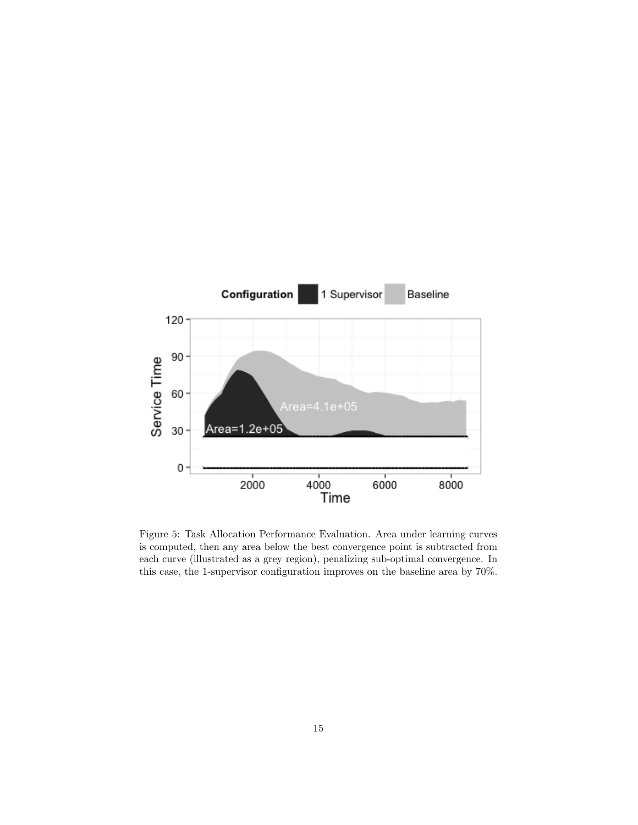

Figure 5: Task Allocation Performance Evaluation. Area under learning curves is computed, then any area below the best convergence point is subtracted from each curve (illustrated as a grey region), penalizing sub-optimal convergence. In this case, the 1-supervisor configuration improves on the baseline area by 70%.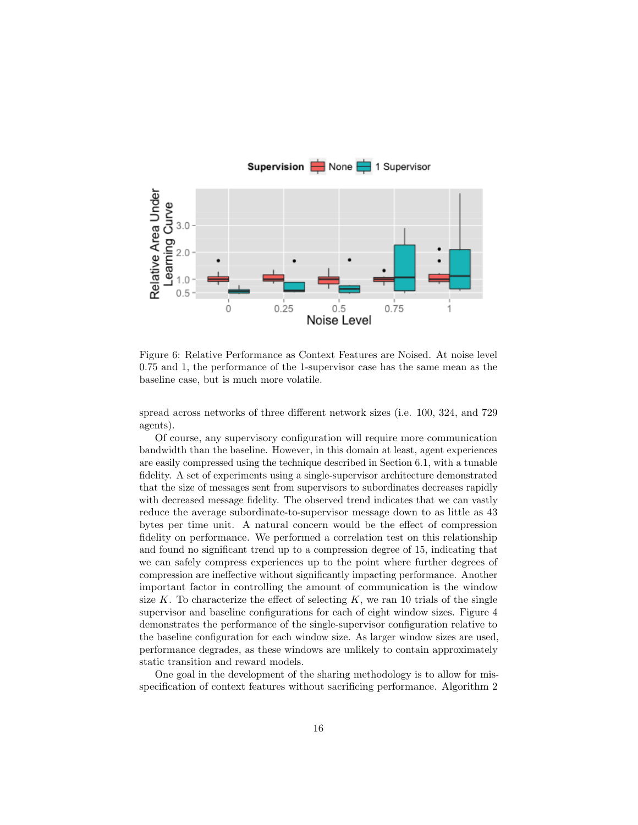

Figure 6: Relative Performance as Context Features are Noised. At noise level 0.75 and 1, the performance of the 1-supervisor case has the same mean as the baseline case, but is much more volatile.

spread across networks of three different network sizes (i.e. 100, 324, and 729 agents).

Of course, any supervisory configuration will require more communication bandwidth than the baseline. However, in this domain at least, agent experiences are easily compressed using the technique described in Section 6.1, with a tunable fidelity. A set of experiments using a single-supervisor architecture demonstrated that the size of messages sent from supervisors to subordinates decreases rapidly with decreased message fidelity. The observed trend indicates that we can vastly reduce the average subordinate-to-supervisor message down to as little as 43 bytes per time unit. A natural concern would be the effect of compression fidelity on performance. We performed a correlation test on this relationship and found no significant trend up to a compression degree of 15, indicating that we can safely compress experiences up to the point where further degrees of compression are ineffective without significantly impacting performance. Another important factor in controlling the amount of communication is the window size K. To characterize the effect of selecting  $K$ , we ran 10 trials of the single supervisor and baseline configurations for each of eight window sizes. Figure 4 demonstrates the performance of the single-supervisor configuration relative to the baseline configuration for each window size. As larger window sizes are used, performance degrades, as these windows are unlikely to contain approximately static transition and reward models.

One goal in the development of the sharing methodology is to allow for misspecification of context features without sacrificing performance. Algorithm 2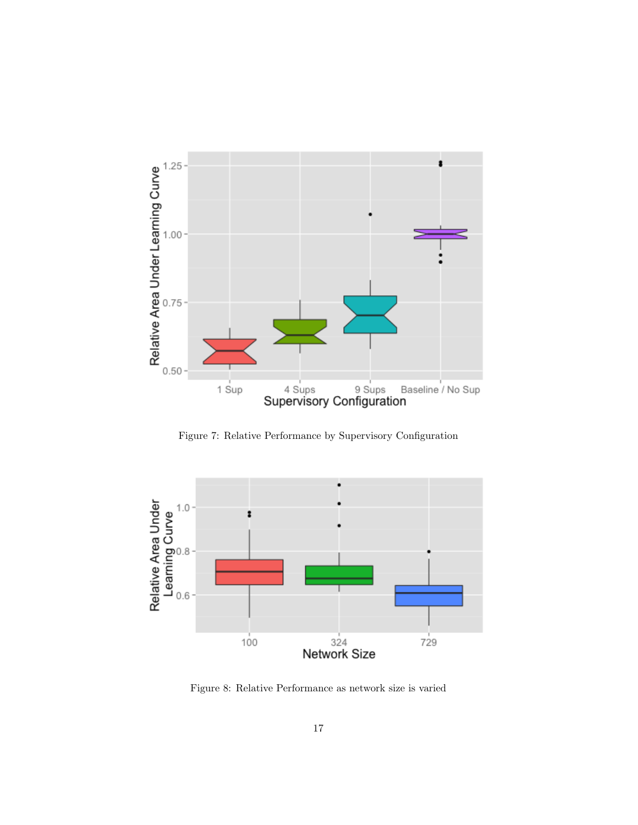

Figure 7: Relative Performance by Supervisory Configuration



Figure 8: Relative Performance as network size is varied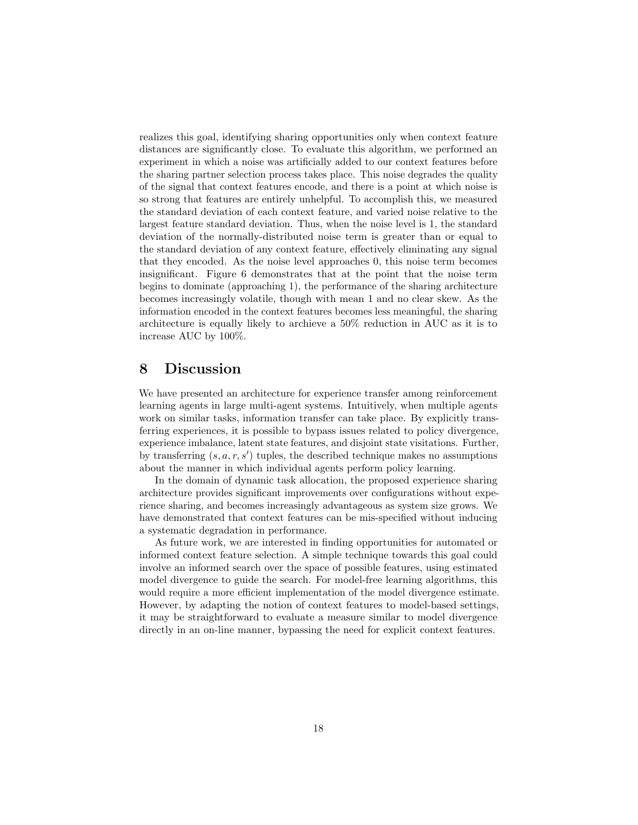realizes this goal, identifying sharing opportunities only when context feature distances are significantly close. To evaluate this algorithm, we performed an experiment in which a noise was artificially added to our context features before the sharing partner selection process takes place. This noise degrades the quality of the signal that context features encode, and there is a point at which noise is so strong that features are entirely unhelpful. To accomplish this, we measured the standard deviation of each context feature, and varied noise relative to the largest feature standard deviation. Thus, when the noise level is 1, the standard deviation of the normally-distributed noise term is greater than or equal to the standard deviation of any context feature, effectively eliminating any signal that they encoded. As the noise level approaches 0, this noise term becomes insignificant. Figure 6 demonstrates that at the point that the noise term begins to dominate (approaching 1), the performance of the sharing architecture becomes increasingly volatile, though with mean 1 and no clear skew. As the information encoded in the context features becomes less meaningful, the sharing architecture is equally likely to archieve a 50% reduction in AUC as it is to increase AUC by 100%.

#### 8 Discussion

We have presented an architecture for experience transfer among reinforcement learning agents in large multi-agent systems. Intuitively, when multiple agents work on similar tasks, information transfer can take place. By explicitly transferring experiences, it is possible to bypass issues related to policy divergence, experience imbalance, latent state features, and disjoint state visitations. Further, by transferring  $(s, a, r, s')$  tuples, the described technique makes no assumptions about the manner in which individual agents perform policy learning.

In the domain of dynamic task allocation, the proposed experience sharing architecture provides significant improvements over configurations without experience sharing, and becomes increasingly advantageous as system size grows. We have demonstrated that context features can be mis-specified without inducing a systematic degradation in performance.

As future work, we are interested in finding opportunities for automated or informed context feature selection. A simple technique towards this goal could involve an informed search over the space of possible features, using estimated model divergence to guide the search. For model-free learning algorithms, this would require a more efficient implementation of the model divergence estimate. However, by adapting the notion of context features to model-based settings, it may be straightforward to evaluate a measure similar to model divergence directly in an on-line manner, bypassing the need for explicit context features.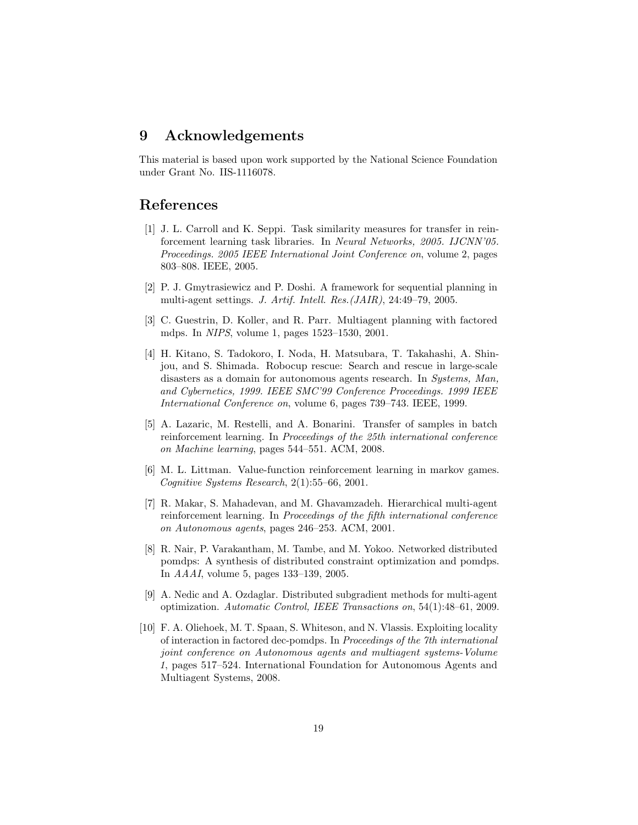#### 9 Acknowledgements

This material is based upon work supported by the National Science Foundation under Grant No. IIS-1116078.

### References

- [1] J. L. Carroll and K. Seppi. Task similarity measures for transfer in reinforcement learning task libraries. In Neural Networks, 2005. IJCNN'05. Proceedings. 2005 IEEE International Joint Conference on, volume 2, pages 803–808. IEEE, 2005.
- [2] P. J. Gmytrasiewicz and P. Doshi. A framework for sequential planning in multi-agent settings. J. Artif. Intell. Res.(JAIR), 24:49–79, 2005.
- [3] C. Guestrin, D. Koller, and R. Parr. Multiagent planning with factored mdps. In NIPS, volume 1, pages 1523–1530, 2001.
- [4] H. Kitano, S. Tadokoro, I. Noda, H. Matsubara, T. Takahashi, A. Shinjou, and S. Shimada. Robocup rescue: Search and rescue in large-scale disasters as a domain for autonomous agents research. In Systems, Man, and Cybernetics, 1999. IEEE SMC'99 Conference Proceedings. 1999 IEEE International Conference on, volume 6, pages 739–743. IEEE, 1999.
- [5] A. Lazaric, M. Restelli, and A. Bonarini. Transfer of samples in batch reinforcement learning. In Proceedings of the 25th international conference on Machine learning, pages 544–551. ACM, 2008.
- [6] M. L. Littman. Value-function reinforcement learning in markov games. Cognitive Systems Research, 2(1):55–66, 2001.
- [7] R. Makar, S. Mahadevan, and M. Ghavamzadeh. Hierarchical multi-agent reinforcement learning. In Proceedings of the fifth international conference on Autonomous agents, pages 246–253. ACM, 2001.
- [8] R. Nair, P. Varakantham, M. Tambe, and M. Yokoo. Networked distributed pomdps: A synthesis of distributed constraint optimization and pomdps. In AAAI, volume 5, pages 133–139, 2005.
- [9] A. Nedic and A. Ozdaglar. Distributed subgradient methods for multi-agent optimization. Automatic Control, IEEE Transactions on, 54(1):48–61, 2009.
- [10] F. A. Oliehoek, M. T. Spaan, S. Whiteson, and N. Vlassis. Exploiting locality of interaction in factored dec-pomdps. In Proceedings of the 7th international joint conference on Autonomous agents and multiagent systems-Volume 1, pages 517–524. International Foundation for Autonomous Agents and Multiagent Systems, 2008.